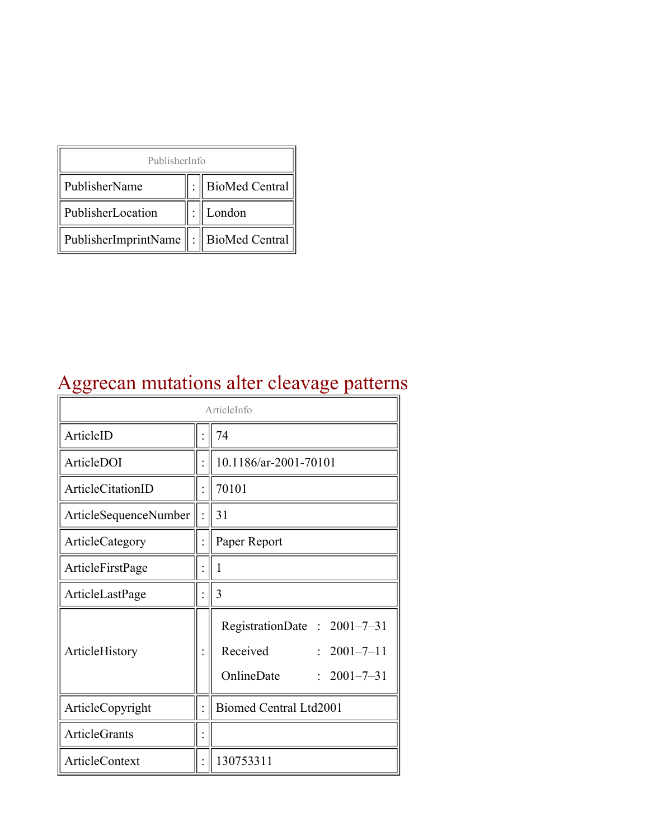| PublisherInfo                                   |  |                    |  |  |
|-------------------------------------------------|--|--------------------|--|--|
| PublisherName                                   |  | :   BioMed Central |  |  |
| PublisherLocation                               |  | London             |  |  |
| PublisherImprintName $\ \cdot\ $ BioMed Central |  |                    |  |  |

# Aggrecan mutations alter cleavage patterns

| ArticleInfo              |  |                                                                                                 |
|--------------------------|--|-------------------------------------------------------------------------------------------------|
| ArticleID                |  | 74                                                                                              |
| ArticleDOI               |  | 10.1186/ar-2001-70101                                                                           |
| <b>ArticleCitationID</b> |  | 70101                                                                                           |
| ArticleSequenceNumber    |  | 31                                                                                              |
| ArticleCategory          |  | Paper Report                                                                                    |
| ArticleFirstPage         |  | 1                                                                                               |
| ArticleLastPage          |  | 3                                                                                               |
| ArticleHistory           |  | RegistrationDate: 2001-7-31<br>Received<br>$: 2001 - 7 - 11$<br>OnlineDate<br>$: 2001 - 7 - 31$ |
| ArticleCopyright         |  | <b>Biomed Central Ltd2001</b>                                                                   |
| <b>ArticleGrants</b>     |  |                                                                                                 |
| ArticleContext           |  | 130753311                                                                                       |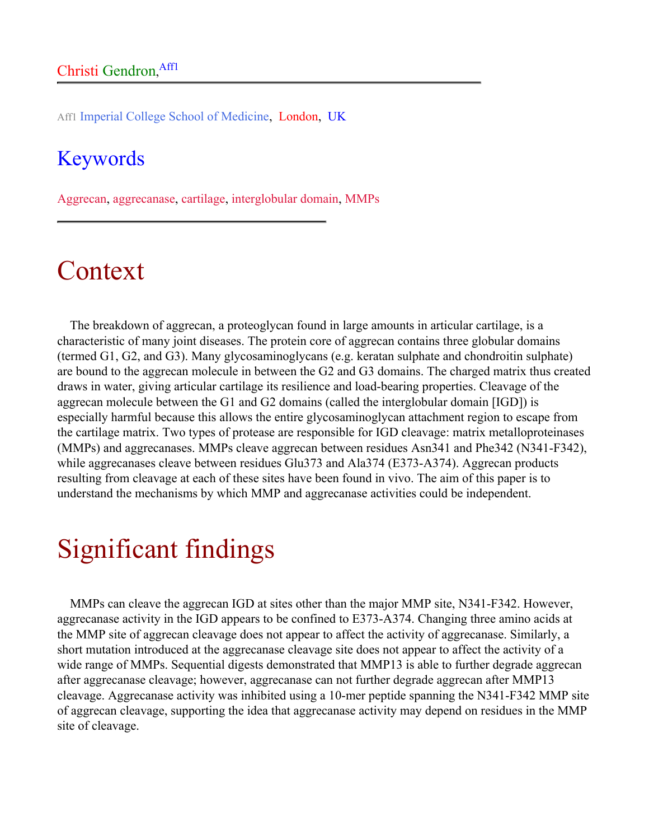Aff1 Imperial College School of Medicine, London, UK

#### Keywords

Aggrecan, aggrecanase, cartilage, interglobular domain, MMPs

### Context

The breakdown of aggrecan, a proteoglycan found in large amounts in articular cartilage, is a characteristic of many joint diseases. The protein core of aggrecan contains three globular domains (termed G1, G2, and G3). Many glycosaminoglycans (e.g. keratan sulphate and chondroitin sulphate) are bound to the aggrecan molecule in between the G2 and G3 domains. The charged matrix thus created draws in water, giving articular cartilage its resilience and load-bearing properties. Cleavage of the aggrecan molecule between the G1 and G2 domains (called the interglobular domain [IGD]) is especially harmful because this allows the entire glycosaminoglycan attachment region to escape from the cartilage matrix. Two types of protease are responsible for IGD cleavage: matrix metalloproteinases (MMPs) and aggrecanases. MMPs cleave aggrecan between residues Asn341 and Phe342 (N341-F342), while aggrecanases cleave between residues Glu373 and Ala374 (E373-A374). Aggrecan products resulting from cleavage at each of these sites have been found in vivo. The aim of this paper is to understand the mechanisms by which MMP and aggrecanase activities could be independent.

# Significant findings

MMPs can cleave the aggrecan IGD at sites other than the major MMP site, N341-F342. However, aggrecanase activity in the IGD appears to be confined to E373-A374. Changing three amino acids at the MMP site of aggrecan cleavage does not appear to affect the activity of aggrecanase. Similarly, a short mutation introduced at the aggrecanase cleavage site does not appear to affect the activity of a wide range of MMPs. Sequential digests demonstrated that MMP13 is able to further degrade aggrecan after aggrecanase cleavage; however, aggrecanase can not further degrade aggrecan after MMP13 cleavage. Aggrecanase activity was inhibited using a 10-mer peptide spanning the N341-F342 MMP site of aggrecan cleavage, supporting the idea that aggrecanase activity may depend on residues in the MMP site of cleavage.